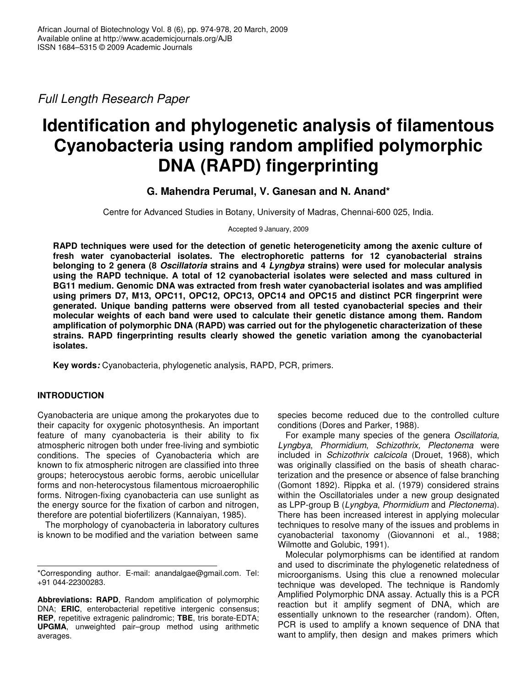*Full Length Research Paper*

# **Identification and phylogenetic analysis of filamentous Cyanobacteria using random amplified polymorphic DNA (RAPD) fingerprinting**

## **G. Mahendra Perumal, V. Ganesan and N. Anand\***

Centre for Advanced Studies in Botany, University of Madras, Chennai-600 025, India.

Accepted 9 January, 2009

**RAPD techniques were used for the detection of genetic heterogeneticity among the axenic culture of fresh water cyanobacterial isolates. The electrophoretic patterns for 12 cyanobacterial strains belonging to 2 genera (8** *Oscillatoria* **strains and 4** *Lyngbya* **strains) were used for molecular analysis using the RAPD technique. A total of 12 cyanobacterial isolates were selected and mass cultured in BG11 medium. Genomic DNA was extracted from fresh water cyanobacterial isolates and was amplified using primers D7, M13, OPC11, OPC12, OPC13, OPC14 and OPC15 and distinct PCR fingerprint were generated. Unique banding patterns were observed from all tested cyanobacterial species and their molecular weights of each band were used to calculate their genetic distance among them. Random amplification of polymorphic DNA (RAPD) was carried out for the phylogenetic characterization of these strains. RAPD fingerprinting results clearly showed the genetic variation among the cyanobacterial isolates.**

**Key words***:* Cyanobacteria, phylogenetic analysis, RAPD, PCR, primers.

## **INTRODUCTION**

Cyanobacteria are unique among the prokaryotes due to their capacity for oxygenic photosynthesis. An important feature of many cyanobacteria is their ability to fix atmospheric nitrogen both under free-living and symbiotic conditions. The species of Cyanobacteria which are known to fix atmospheric nitrogen are classified into three groups; heterocystous aerobic forms, aerobic unicellular forms and non-heterocystous filamentous microaerophilic forms. Nitrogen-fixing cyanobacteria can use sunlight as the energy source for the fixation of carbon and nitrogen, therefore are potential biofertilizers (Kannaiyan, 1985).

The morphology of cyanobacteria in laboratory cultures is known to be modified and the variation between same

species become reduced due to the controlled culture conditions (Dores and Parker, 1988).

For example many species of the genera *Oscillatoria*, *Lyngbya*, *Phormidium*, *Schizothrix, Plectonema* were included in *Schizothrix calcicola* (Drouet, 1968), which was originally classified on the basis of sheath characterization and the presence or absence of false branching (Gomont 1892). Rippka et al. (1979) considered strains within the Oscillatoriales under a new group designated as LPP-group B (*Lyngbya*, *Phormidium* and *Plectonema*). There has been increased interest in applying molecular techniques to resolve many of the issues and problems in cyanobacterial taxonomy (Giovannoni et al., 1988; Wilmotte and Golubic, 1991).

Molecular polymorphisms can be identified at random and used to discriminate the phylogenetic relatedness of microorganisms. Using this clue a renowned molecular technique was developed. The technique is Randomly Amplified Polymorphic DNA assay. Actually this is a PCR reaction but it amplify segment of DNA, which are essentially unknown to the researcher (random). Often, PCR is used to amplify a known sequence of DNA that want to amplify, then design and makes primers which

<sup>\*</sup>Corresponding author. E-mail: anandalgae@gmail.com. Tel: +91 044-22300283.

**Abbreviations: RAPD**, Random amplification of polymorphic DNA; **ERIC**, enterobacterial repetitive intergenic consensus; **REP**, repetitive extragenic palindromic; **TBE**, tris borate-EDTA; **UPGMA**, unweighted pair–group method using arithmetic averages.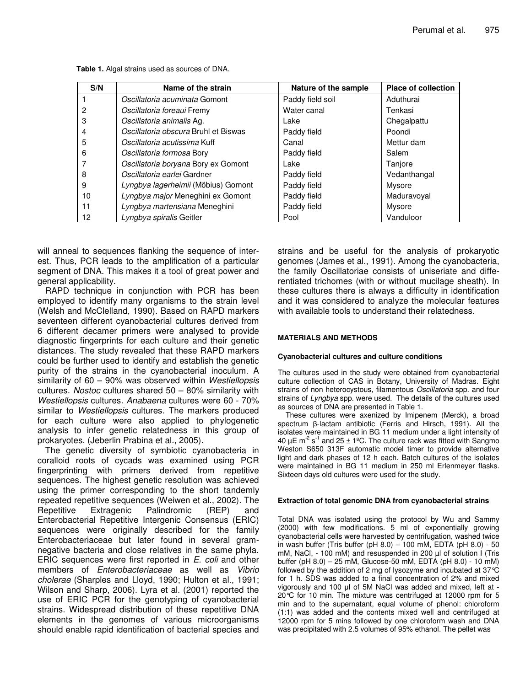| S/N | Name of the strain                   | Nature of the sample | <b>Place of collection</b> |
|-----|--------------------------------------|----------------------|----------------------------|
|     | Oscillatoria acuminata Gomont        | Paddy field soil     | Aduthurai                  |
| 2   | Oscillatoria foreaui Fremy           | Water canal          | Tenkasi                    |
| 3   | Oscillatoria animalis Ag.            | Lake                 | Chegalpattu                |
| 4   | Oscillatoria obscura Bruhl et Biswas | Paddy field          | Poondi                     |
| 5   | Oscillatoria acutissima Kuff         | Canal                | Mettur dam                 |
| 6   | Oscillatoria formosa Bory            | Paddy field          | Salem                      |
| 7   | Oscillatoria boryana Bory ex Gomont  | Lake                 | Tanjore                    |
| 8   | Oscillatoria earlei Gardner          | Paddy field          | Vedanthangal               |
| 9   | Lyngbya lagerheimii (Möbius) Gomont  | Paddy field          | Mysore                     |
| 10  | Lyngbya major Meneghini ex Gomont    | Paddy field          | Maduravoval                |
| 11  | Lyngbya martensiana Meneghini        | Paddy field          | Mysore                     |
| 12  | Lyngbya spiralis Geitler             | Pool                 | Vanduloor                  |

**Table 1.** Algal strains used as sources of DNA.

will anneal to sequences flanking the sequence of interest. Thus, PCR leads to the amplification of a particular segment of DNA. This makes it a tool of great power and general applicability.

RAPD technique in conjunction with PCR has been employed to identify many organisms to the strain level (Welsh and McClelland, 1990). Based on RAPD markers seventeen different cyanobacterial cultures derived from 6 different decamer primers were analysed to provide diagnostic fingerprints for each culture and their genetic distances. The study revealed that these RAPD markers could be further used to identify and establish the genetic purity of the strains in the cyanobacterial inoculum. A similarity of 60 – 90% was observed within *Westiellopsis* cultures. *Nostoc* cultures shared 50 – 80% similarity with *Westiellopsis* cultures. *Anabaena* cultures were 60 - 70% similar to *Westiellopsis* cultures. The markers produced for each culture were also applied to phylogenetic analysis to infer genetic relatedness in this group of prokaryotes. (Jeberlin Prabina et al., 2005).

The genetic diversity of symbiotic cyanobacteria in coralloid roots of cycads was examined using PCR fingerprinting with primers derived from repetitive sequences. The highest genetic resolution was achieved using the primer corresponding to the short tandemly repeated repetitive sequences (Weiwen et al., 2002). The Repetitive Extragenic Palindromic (REP) and Enterobacterial Repetitive Intergenic Consensus (ERIC) sequences were originally described for the family Enterobacteriaceae but later found in several gramnegative bacteria and close relatives in the same phyla. ERIC sequences were first reported in *E. coli* and other members of *Enterobacteriaceae* as well as *Vibrio cholerae* (Sharples and Lloyd, 1990; Hulton et al., 1991; Wilson and Sharp, 2006). Lyra et al. (2001) reported the use of ERIC PCR for the genotyping of cyanobacterial strains. Widespread distribution of these repetitive DNA elements in the genomes of various microorganisms should enable rapid identification of bacterial species and strains and be useful for the analysis of prokaryotic genomes (James et al., 1991). Among the cyanobacteria, the family Oscillatoriae consists of uniseriate and differentiated trichomes (with or without mucilage sheath). In these cultures there is always a difficulty in identification and it was considered to analyze the molecular features with available tools to understand their relatedness.

#### **MATERIALS AND METHODS**

#### **Cyanobacterial cultures and culture conditions**

The cultures used in the study were obtained from cyanobacterial culture collection of CAS in Botany, University of Madras. Eight strains of non heterocystous, filamentous *Oscillatoria* spp. and four strains of *Lyngbya* spp. were used. The details of the cultures used as sources of DNA are presented in Table 1.

These cultures were axenized by Imipenem (Merck), a broad spectrum  $\beta$ -lactam antibiotic (Ferris and Hirsch, 1991). All the isolates were maintained in BG 11 medium under a light intensity of 40  $\mu$ E m<sup>-2</sup> s<sup>-1</sup> and 25 ± 1°C. The culture rack was fitted with Sangmo Weston S650 313F automatic model timer to provide alternative light and dark phases of 12 h each. Batch cultures of the isolates were maintained in BG 11 medium in 250 ml Erlenmeyer flasks. Sixteen days old cultures were used for the study.

#### **Extraction of total genomic DNA from cyanobacterial strains**

Total DNA was isolated using the protocol by Wu and Sammy (2000) with few modifications. 5 ml of exponentially growing cyanobacterial cells were harvested by centrifugation, washed twice in wash buffer (Tris buffer (pH  $8.0$ ) – 100 mM, EDTA (pH  $8.0$ ) - 50 mM, NaCl, - 100 mM) and resuspended in 200 µl of solution I (Tris buffer (pH 8.0) – 25 mM, Glucose-50 mM, EDTA (pH 8.0) - 10 mM) followed by the addition of 2 mg of lysozyme and incubated at 37°C for 1 h. SDS was added to a final concentration of 2% and mixed vigorously and 100 µl of 5M NaCl was added and mixed, left at -20°C for 10 min. The mixture was centrifuged at 12000 rpm for 5 min and to the supernatant, equal volume of phenol: chloroform (1:1) was added and the contents mixed well and centrifuged at 12000 rpm for 5 mins followed by one chloroform wash and DNA was precipitated with 2.5 volumes of 95% ethanol. The pellet was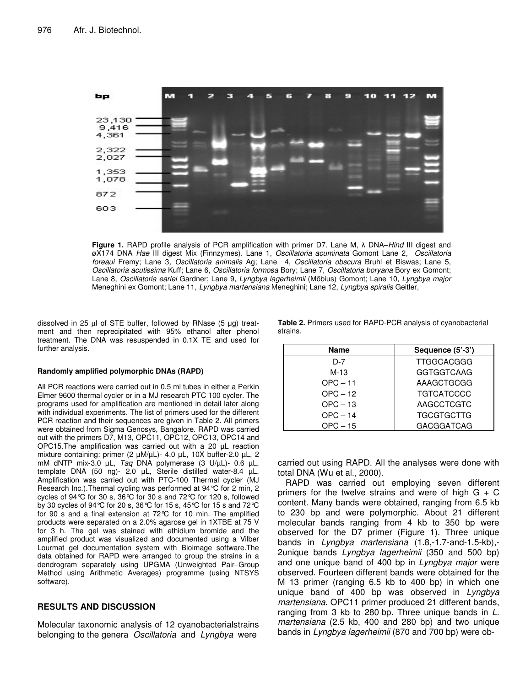

**Figure 1.** RAPD profile analysis of PCR amplification with primer D7. Lane M,  $\lambda$  DNA–*Hind* III digest and øX174 DNA *Hae* III digest Mix (Finnzymes). Lane 1, *Oscillatoria acuminata* Gomont Lane 2, *Oscillatoria foreaui* Fremy; Lane 3*, Oscillatoria animalis* Ag; Lane 4, *Oscillatoria obscura* Bruhl et Biswas; Lane 5, *Oscillatoria acutissima* Kuff; Lane 6, *Oscillatoria formosa* Bory; Lane 7, *Oscillatoria boryana* Bory ex Gomont; Lane 8, *Oscillatoria earlei* Gardner; Lane 9, *Lyngbya lagerheimii* (Möbius) Gomont; Lane 10, *Lyngbya major* Meneghini ex Gomont; Lane 11, *Lyngbya martensiana* Meneghini; Lane 12, *Lyngbya spiralis* Geitler,

dissolved in 25 µl of STE buffer, followed by RNase (5 µg) treatment and then reprecipitated with 95% ethanol after phenol treatment. The DNA was resuspended in 0.1X TE and used for further analysis.

#### **Randomly amplified polymorphic DNAs (RAPD)**

All PCR reactions were carried out in 0.5 ml tubes in either a Perkin Elmer 9600 thermal cycler or in a MJ research PTC 100 cycler. The programs used for amplification are mentioned in detail later along with individual experiments. The list of primers used for the different PCR reaction and their sequences are given in Table 2. All primers were obtained from Sigma Genosys, Bangalore. RAPD was carried out with the primers D7, M13, OPC11, OPC12, OPC13, OPC14 and OPC15.The amplification was carried out with a 20 µL reaction mixture containing: primer (2  $\mu$ M/ $\mu$ L)- 4.0  $\mu$ L, 10X buffer-2.0  $\mu$ L, 2 mM dNTP mix-3.0 µL, *Taq* DNA polymerase (3 U/µL)- 0.6 µL, template DNA (50 ng)- 2.0 µL, Sterile distilled water-8.4 µL. Amplification was carried out with PTC-100 Thermal cycler (MJ Research Inc.).Thermal cycling was performed at 94°C for 2 min, 2 cycles of 94°C for 30 s, 36°C for 30 s and 72°C for 120 s, followed by 30 cycles of 94°C for 20 s, 36°C for 15 s, 45°C for 15 s and 72°C for 90 s and a final extension at 72°C for 10 min. The amplified products were separated on a 2.0% agarose gel in 1XTBE at 75 V for 3 h. The gel was stained with ethidium bromide and the amplified product was visualized and documented using a Vilber Lourmat gel documentation system with Bioimage software.The data obtained for RAPD were arranged to group the strains in a dendrogram separately using UPGMA (Unweighted Pair–Group Method using Arithmetic Averages) programme (using NTSYS software).

### **RESULTS AND DISCUSSION**

Molecular taxonomic analysis of 12 cyanobacterialstrains belonging to the genera *Oscillatoria* and *Lyngbya* were

**Table 2.** Primers used for RAPD-PCR analysis of cyanobacterial strains.

| <b>Name</b> | Sequence (5'-3')  |
|-------------|-------------------|
| D-7         | <b>TTGGCACGGG</b> |
| $M-1.3$     | <b>GGTGGTCAAG</b> |
| $OPC - 11$  | AAAGCTGCGG        |
| $OPC - 12$  | <b>TGTCATCCCC</b> |
| $OPC - 13$  | AAGCCTCGTC        |
| $OPC - 14$  | <b>TGCGTGCTTG</b> |
| $OPC - 15$  | <b>GACGGATCAG</b> |

carried out using RAPD. All the analyses were done with total DNA (Wu et al., 2000).

RAPD was carried out employing seven different primers for the twelve strains and were of high  $G + C$ content. Many bands were obtained, ranging from 6.5 kb to 230 bp and were polymorphic. About 21 different molecular bands ranging from 4 kb to 350 bp were observed for the D7 primer (Figure 1). Three unique bands in *Lyngbya martensiana* (1.8,-1.7-and-1.5-kb),- 2unique bands *Lyngbya lagerheimii* (350 and 500 bp) and one unique band of 400 bp in *Lyngbya major* were observed. Fourteen different bands were obtained for the M 13 primer (ranging 6.5 kb to 400 bp) in which one unique band of 400 bp was observed in *Lyngbya martensiana*. OPC11 primer produced 21 different bands, ranging from 3 kb to 280 bp. Three unique bands in *L. martensiana* (2.5 kb, 400 and 280 bp) and two unique bands in *Lyngbya lagerheimii* (870 and 700 bp) were ob-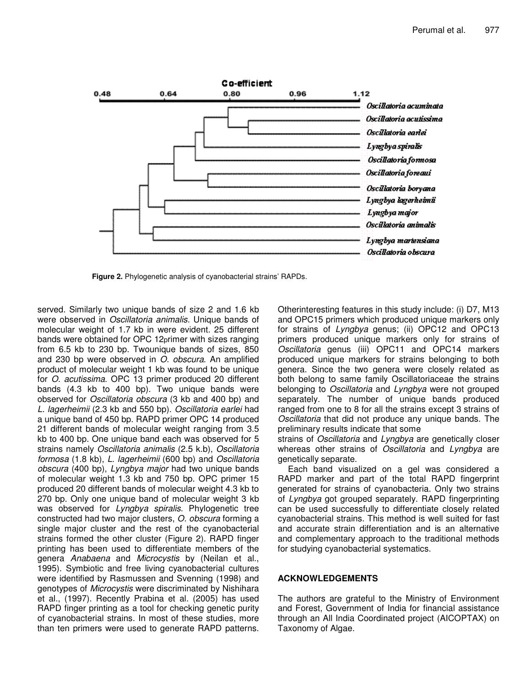

**Figure 2.** Phylogenetic analysis of cyanobacterial strains' RAPDs.

served. Similarly two unique bands of size 2 and 1.6 kb were observed in *Oscillatoria animalis*. Unique bands of molecular weight of 1.7 kb in were evident. 25 different bands were obtained for OPC 12primer with sizes ranging from 6.5 kb to 230 bp. Twounique bands of sizes, 850 and 230 bp were observed in *O. obscura*. An amplified product of molecular weight 1 kb was found to be unique for *O. acutissima*. OPC 13 primer produced 20 different bands (4.3 kb to 400 bp). Two unique bands were observed for *Oscillatoria obscura* (3 kb and 400 bp) and *L. lagerheimii* (2.3 kb and 550 bp). *Oscillatoria earlei* had a unique band of 450 bp. RAPD primer OPC 14 produced 21 different bands of molecular weight ranging from 3.5 kb to 400 bp. One unique band each was observed for 5 strains namely *Oscillatoria animalis* (2.5 k.b), *Oscillatoria formosa* (1.8 kb), *L. lagerheimii* (600 bp) and *Oscillatoria obscura* (400 bp), *Lyngbya major* had two unique bands of molecular weight 1.3 kb and 750 bp. OPC primer 15 produced 20 different bands of molecular weight 4.3 kb to 270 bp. Only one unique band of molecular weight 3 kb was observed for *Lyngbya spiralis*. Phylogenetic tree constructed had two major clusters, *O. obscura* forming a single major cluster and the rest of the cyanobacterial strains formed the other cluster (Figure 2). RAPD finger printing has been used to differentiate members of the genera *Anabaena* and *Microcystis* by (Neilan et al., 1995). Symbiotic and free living cyanobacterial cultures were identified by Rasmussen and Svenning (1998) and genotypes of *Microcystis* were discriminated by Nishihara et al., (1997). Recently Prabina et al. (2005) has used RAPD finger printing as a tool for checking genetic purity of cyanobacterial strains. In most of these studies, more than ten primers were used to generate RAPD patterns.

Otherinteresting features in this study include: (i) D7, M13 and OPC15 primers which produced unique markers only for strains of *Lyngbya* genus; (ii) OPC12 and OPC13 primers produced unique markers only for strains of *Oscillatoria* genus (iii) OPC11 and OPC14 markers produced unique markers for strains belonging to both genera. Since the two genera were closely related as both belong to same family Oscillatoriaceae the strains belonging to *Oscillatoria* and *Lyngbya* were not grouped separately. The number of unique bands produced ranged from one to 8 for all the strains except 3 strains of *Oscillatoria* that did not produce any unique bands. The preliminary results indicate that some

strains of *Oscillatoria* and *Lyngbya* are genetically closer whereas other strains of *Oscillatoria* and *Lyngbya* are genetically separate.

Each band visualized on a gel was considered a RAPD marker and part of the total RAPD fingerprint generated for strains of cyanobacteria. Only two strains of *Lyngbya* got grouped separately. RAPD fingerprinting can be used successfully to differentiate closely related cyanobacterial strains. This method is well suited for fast and accurate strain differentiation and is an alternative and complementary approach to the traditional methods for studying cyanobacterial systematics.

### **ACKNOWLEDGEMENTS**

The authors are grateful to the Ministry of Environment and Forest, Government of India for financial assistance through an All India Coordinated project (AICOPTAX) on Taxonomy of Algae.